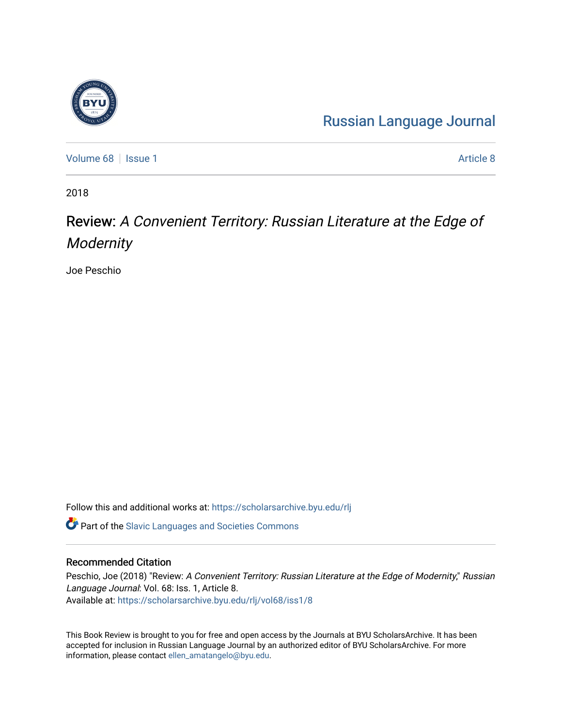## [Russian Language Journal](https://scholarsarchive.byu.edu/rlj)

[Volume 68](https://scholarsarchive.byu.edu/rlj/vol68) | [Issue 1](https://scholarsarchive.byu.edu/rlj/vol68/iss1) [Article 8](https://scholarsarchive.byu.edu/rlj/vol68/iss1/8) | Issue 1 Article 8 | Issue 1 Article 8 | Issue 1 Article 8 | Issue 1 Article 8 | Issue 1 Article 8 | Issue 1 Article 8 | Issue 1 Article 8 | Issue 1 Article 8 | Issue 1 Article 8 | Issue 1 Ar

2018

## Review: A Convenient Territory: Russian Literature at the Edge of **Modernity**

Joe Peschio

Follow this and additional works at: [https://scholarsarchive.byu.edu/rlj](https://scholarsarchive.byu.edu/rlj?utm_source=scholarsarchive.byu.edu%2Frlj%2Fvol68%2Fiss1%2F8&utm_medium=PDF&utm_campaign=PDFCoverPages)

**C** Part of the Slavic Languages and Societies Commons

## Recommended Citation

Peschio, Joe (2018) "Review: A Convenient Territory: Russian Literature at the Edge of Modernity," Russian Language Journal: Vol. 68: Iss. 1, Article 8. Available at: [https://scholarsarchive.byu.edu/rlj/vol68/iss1/8](https://scholarsarchive.byu.edu/rlj/vol68/iss1/8?utm_source=scholarsarchive.byu.edu%2Frlj%2Fvol68%2Fiss1%2F8&utm_medium=PDF&utm_campaign=PDFCoverPages) 

This Book Review is brought to you for free and open access by the Journals at BYU ScholarsArchive. It has been accepted for inclusion in Russian Language Journal by an authorized editor of BYU ScholarsArchive. For more information, please contact [ellen\\_amatangelo@byu.edu.](mailto:ellen_amatangelo@byu.edu)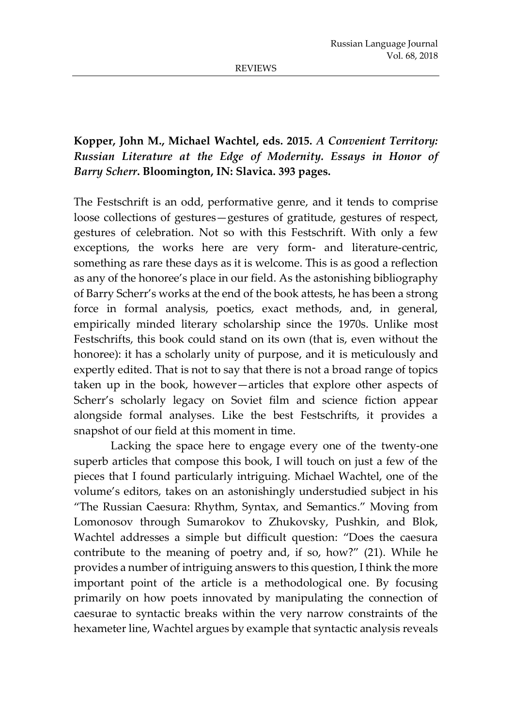## **Kopper, John M., Michael Wachtel, eds. 2015.** *A Convenient Territory: Russian Literature at the Edge of Modernity. Essays in Honor of Barry Scherr***. Bloomington, IN: Slavica. 393 pages.**

The Festschrift is an odd, performative genre, and it tends to comprise loose collections of gestures—gestures of gratitude, gestures of respect, gestures of celebration. Not so with this Festschrift. With only a few exceptions, the works here are very form- and literature-centric, something as rare these days as it is welcome. This is as good a reflection as any of the honoree's place in our field. As the astonishing bibliography of Barry Scherr's works at the end of the book attests, he has been a strong force in formal analysis, poetics, exact methods, and, in general, empirically minded literary scholarship since the 1970s. Unlike most Festschrifts, this book could stand on its own (that is, even without the honoree): it has a scholarly unity of purpose, and it is meticulously and expertly edited. That is not to say that there is not a broad range of topics taken up in the book, however—articles that explore other aspects of Scherr's scholarly legacy on Soviet film and science fiction appear alongside formal analyses. Like the best Festschrifts, it provides a snapshot of our field at this moment in time.

Lacking the space here to engage every one of the twenty-one superb articles that compose this book, I will touch on just a few of the pieces that I found particularly intriguing. Michael Wachtel, one of the volume's editors, takes on an astonishingly understudied subject in his "The Russian Caesura: Rhythm, Syntax, and Semantics." Moving from Lomonosov through Sumarokov to Zhukovsky, Pushkin, and Blok, Wachtel addresses a simple but difficult question: "Does the caesura contribute to the meaning of poetry and, if so, how?" (21). While he provides a number of intriguing answers to this question, I think the more important point of the article is a methodological one. By focusing primarily on how poets innovated by manipulating the connection of caesurae to syntactic breaks within the very narrow constraints of the hexameter line, Wachtel argues by example that syntactic analysis reveals